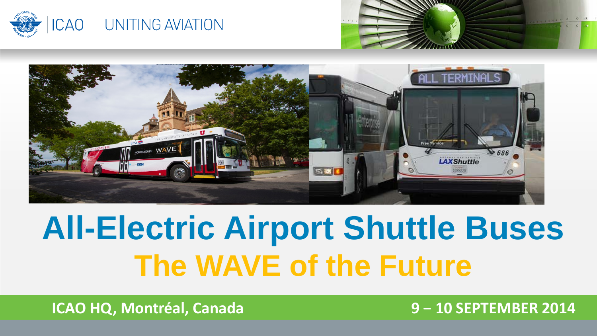





## **All-Electric Airport Shuttle Buses The WAVE of the Future**

**ICAO HQ, Montréal, Canada 9 − 10 SEPTEMBER 2014**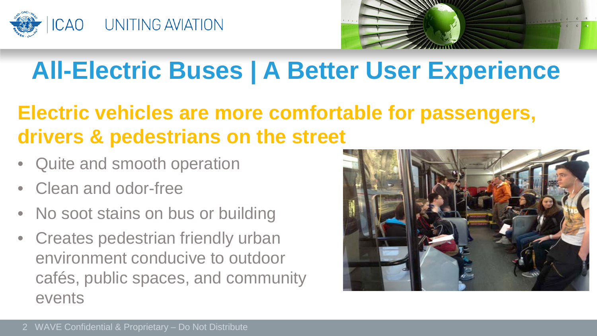



### **All-Electric Buses | A Better User Experience**

#### **Electric vehicles are more comfortable for passengers, drivers & pedestrians on the street**

- Quite and smooth operation
- Clean and odor-free
- No soot stains on bus or building
- Creates pedestrian friendly urban environment conducive to outdoor cafés, public spaces, and community events

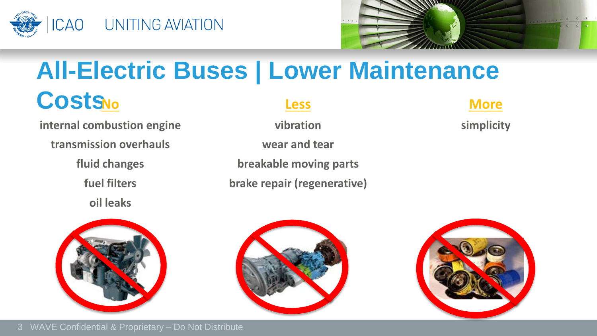



### **All-Electric Buses | Lower Maintenance**

### **Costs**

**internal combustion engine vibration vibration vibration simplicity** 

**transmission overhauls wear and tear**

**oil leaks**



**fluid changes breakable moving parts fuel filters brake repair (regenerative)**

#### **No Less More**

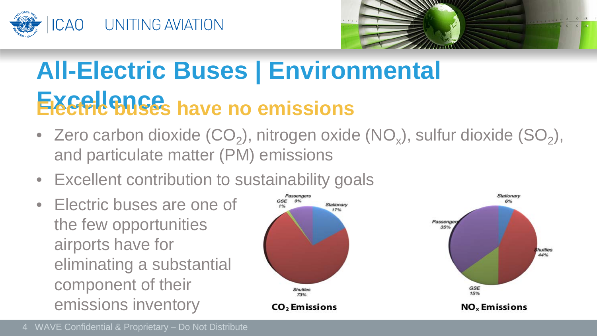



## **All-Electric Buses | Environmental**  Excellence<sub>s</sub> have no emissions

- Zero carbon dioxide  $(CO_2)$ , nitrogen oxide  $(NO_x)$ , sulfur dioxide  $(SO_2)$ , and particulate matter (PM) emissions
- Excellent contribution to sustainability goals
- Electric buses are one of the few opportunities airports have for eliminating a substantial component of their emissions inventory

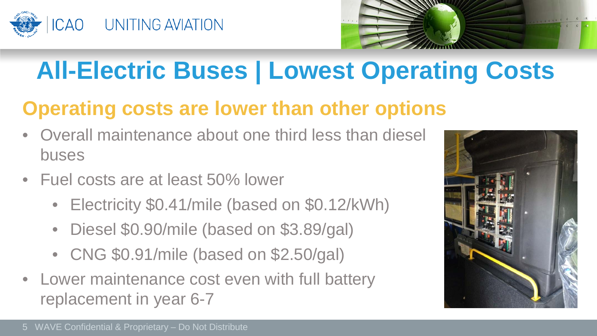



### **All-Electric Buses | Lowest Operating Costs**

### **Operating costs are lower than other options**

- Overall maintenance about one third less than diesel buses
- Fuel costs are at least 50% lower
	- Electricity \$0.41/mile (based on \$0.12/kWh)
	- Diesel \$0.90/mile (based on \$3.89/gal)
	- CNG \$0.91/mile (based on \$2.50/gal)
- Lower maintenance cost even with full battery replacement in year 6-7

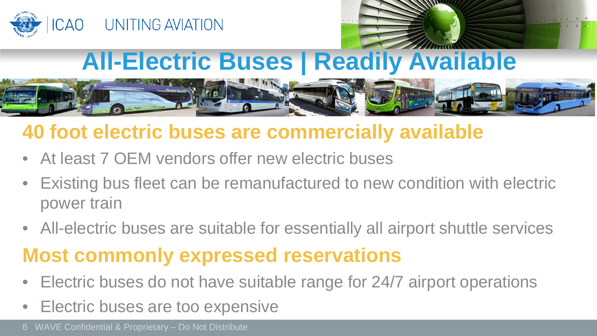



### **All-Electric Buses | Readily Available**



#### **40 foot electric buses are commercially available**

- At least 7 OEM vendors offer new electric buses
- Existing bus fleet can be remanufactured to new condition with electric power train
- All-electric buses are suitable for essentially all airport shuttle services

### **Most commonly expressed reservations**

- Electric buses do not have suitable range for 24/7 airport operations
- Electric buses are too expensive

6 WAVE Confidential & Proprietary – Do Not Distribute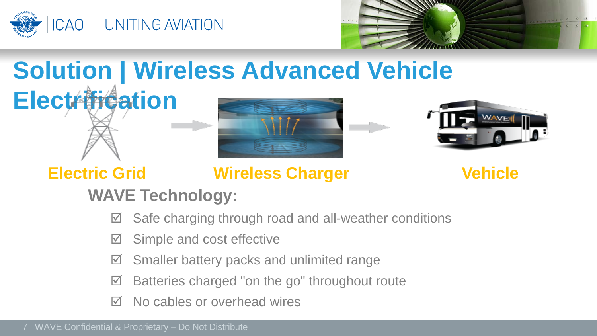



### **Solution | Wireless Advanced Vehicle Electrification**





#### **Electric Grid Wireless Charger Vehicle**

#### **WAVE Technology:**

- $\boxtimes$  Safe charging through road and all-weather conditions
- $\boxtimes$  Simple and cost effective
- $\boxtimes$  Smaller battery packs and unlimited range
- $\boxtimes$  Batteries charged "on the go" throughout route
- $\boxtimes$  No cables or overhead wires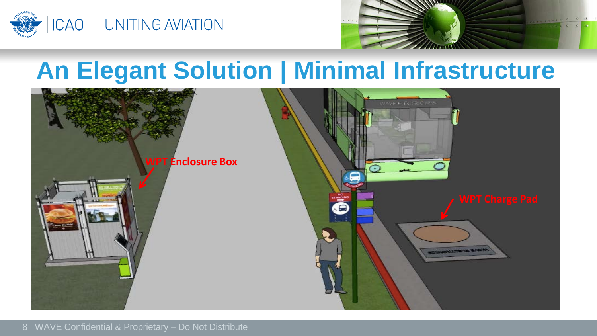



### **An Elegant Solution | Minimal Infrastructure**

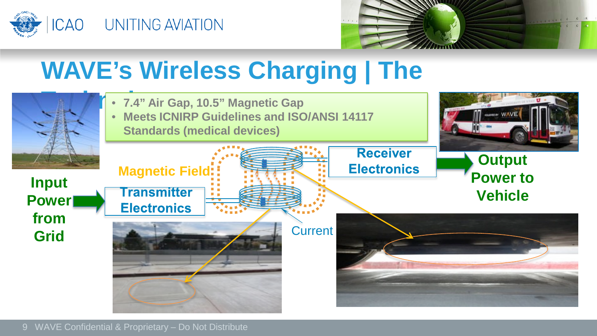



### **WAVE's Wireless Charging | The**

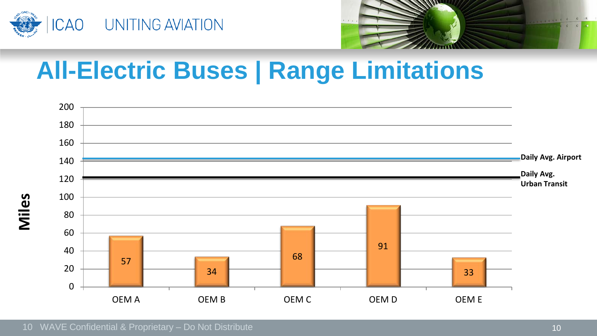



### **All-Electric Buses | Range Limitations**

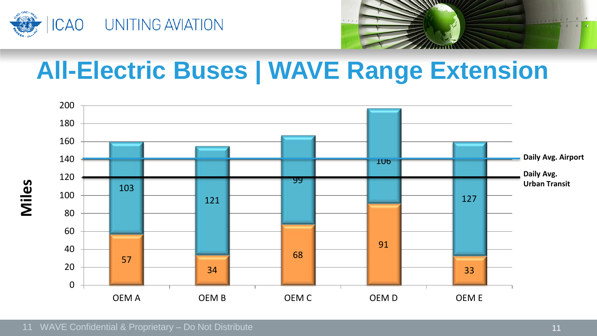



### **All-Electric Buses | WAVE Range Extension**

![](_page_10_Figure_3.jpeg)

11 WAVE Confidential & Proprietary – Do Not Distribute 11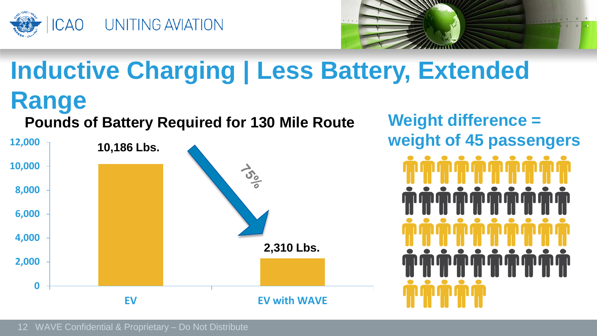![](_page_11_Picture_0.jpeg)

![](_page_11_Picture_1.jpeg)

### **Inductive Charging | Less Battery, Extended Range**

#### **Pounds of Battery Required for 130 Mile Route Weight difference =**

![](_page_11_Figure_4.jpeg)

**weight of 45 passengers**

![](_page_11_Figure_6.jpeg)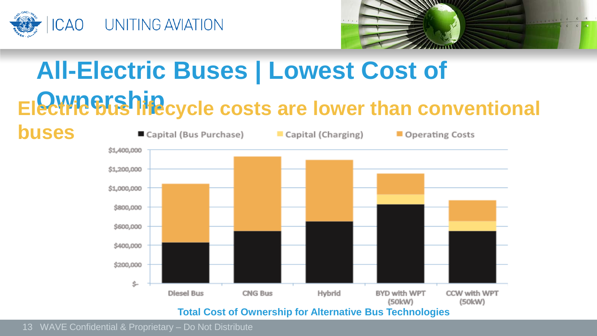![](_page_12_Picture_0.jpeg)

![](_page_12_Picture_1.jpeg)

### **All-Electric Buses | Lowest Cost of Electric bushingcycle costs are lower than conventional**

![](_page_12_Figure_3.jpeg)

13 WAVE Confidential & Proprietary – Do Not Distribute